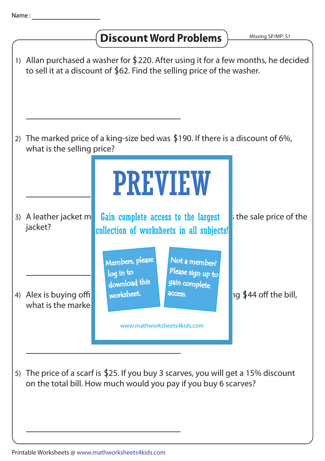